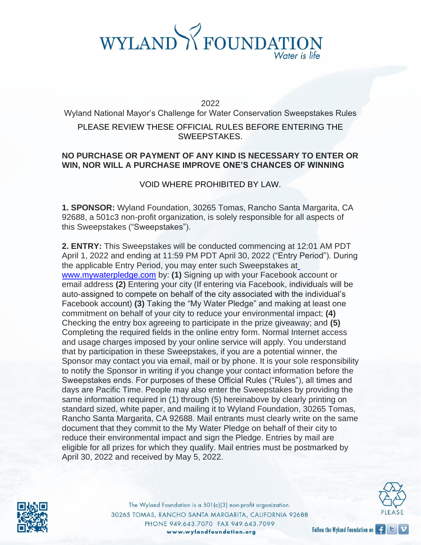2022

Wyland National Mayor's Challenge for Water Conservation Sweepstakes Rules PLEASE REVIEW THESE OFFICIAL RULES BEFORE ENTERING THE SWEEPSTAKES.

#### **NO PURCHASE OR PAYMENT OF ANY KIND IS NECESSARY TO ENTER OR WIN, NOR WILL A PURCHASE IMPROVE ONE'S CHANCES OF WINNING**

#### VOID WHERE PROHIBITED BY LAW.

**1. SPONSOR:** Wyland Foundation, 30265 Tomas, Rancho Santa Margarita, CA 92688, a 501c3 non-profit organization, is solely responsible for all aspects of this Sweepstakes ("Sweepstakes").

**2. ENTRY:** This Sweepstakes will be conducted commencing at 12:01 AM PDT April 1, 2022 and ending at 11:59 PM PDT April 30, 2022 ("Entry Period"). During the applicable Entry Period, you may enter such Sweepstakes a[t](http://www.mywaterpledge.com/) [www.mywaterpledge.com](http://www.mywaterpledge.com/) by: **(1)** Signing up with your Facebook account or email address **(2)** Entering your city (If entering via Facebook, individuals will be auto-assigned to compete on behalf of the city associated with the individual's Facebook account) **(3)** Taking the "My Water Pledge" and making at least one commitment on behalf of your city to reduce your environmental impact; **(4)**  Checking the entry box agreeing to participate in the prize giveaway; and **(5)**  Completing the required fields in the online entry form. Normal Internet access and usage charges imposed by your online service will apply. You understand that by participation in these Sweepstakes, if you are a potential winner, the Sponsor may contact you via email, mail or by phone. It is your sole responsibility to notify the Sponsor in writing if you change your contact information before the Sweepstakes ends. For purposes of these Official Rules ("Rules"), all times and days are Pacific Time. People may also enter the Sweepstakes by providing the same information required in (1) through (5) hereinabove by clearly printing on standard sized, white paper, and mailing it to Wyland Foundation, 30265 Tomas, Rancho Santa Margarita, CA 92688. Mail entrants must clearly write on the same document that they commit to the My Water Pledge on behalf of their city to reduce their environmental impact and sign the Pledge. Entries by mail are eligible for all prizes for which they qualify. Mail entries must be postmarked by April 30, 2022 and received by May 5, 2022.



The Wyland Foundation is a 501(c)(3) non-profit organization. 30265 TOMAS, RANCHO SANTA MARGARITA, CALIFORNIA 92688 PHONE 949.643.7070 FAX 949.643.7099 www.wylandfoundation.org



Follow the Wyland Foundation on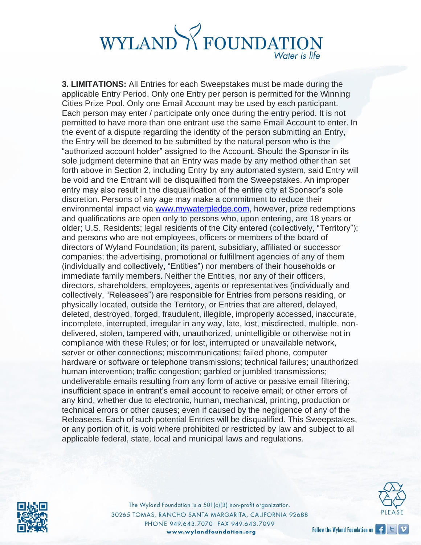**3. LIMITATIONS:** All Entries for each Sweepstakes must be made during the applicable Entry Period. Only one Entry per person is permitted for the Winning Cities Prize Pool. Only one Email Account may be used by each participant. Each person may enter / participate only once during the entry period. It is not permitted to have more than one entrant use the same Email Account to enter. In the event of a dispute regarding the identity of the person submitting an Entry, the Entry will be deemed to be submitted by the natural person who is the "authorized account holder" assigned to the Account. Should the Sponsor in its sole judgment determine that an Entry was made by any method other than set forth above in Section 2, including Entry by any automated system, said Entry will be void and the Entrant will be disqualified from the Sweepstakes. An improper entry may also result in the disqualification of the entire city at Sponsor's sole discretion. Persons of any age may make a commitment to reduce their environmental impact via [www.mywaterpledge.com, h](http://www.mywaterpledge.com/)owever, prize redemptions and qualifications are open only to persons who, upon entering, are 18 years or older; U.S. Residents; legal residents of the City entered (collectively, "Territory"); and persons who are not employees, officers or members of the board of directors of Wyland Foundation; its parent, subsidiary, affiliated or successor companies; the advertising, promotional or fulfillment agencies of any of them (individually and collectively, "Entities") nor members of their households or immediate family members. Neither the Entities, nor any of their officers, directors, shareholders, employees, agents or representatives (individually and collectively, "Releasees") are responsible for Entries from persons residing, or physically located, outside the Territory, or Entries that are altered, delayed, deleted, destroyed, forged, fraudulent, illegible, improperly accessed, inaccurate, incomplete, interrupted, irregular in any way, late, lost, misdirected, multiple, nondelivered, stolen, tampered with, unauthorized, unintelligible or otherwise not in compliance with these Rules; or for lost, interrupted or unavailable network, server or other connections; miscommunications; failed phone, computer hardware or software or telephone transmissions; technical failures; unauthorized human intervention; traffic congestion; garbled or jumbled transmissions; undeliverable emails resulting from any form of active or passive email filtering; insufficient space in entrant's email account to receive email; or other errors of any kind, whether due to electronic, human, mechanical, printing, production or technical errors or other causes; even if caused by the negligence of any of the Releasees. Each of such potential Entries will be disqualified. This Sweepstakes, or any portion of it, is void where prohibited or restricted by law and subject to all applicable federal, state, local and municipal laws and regulations.



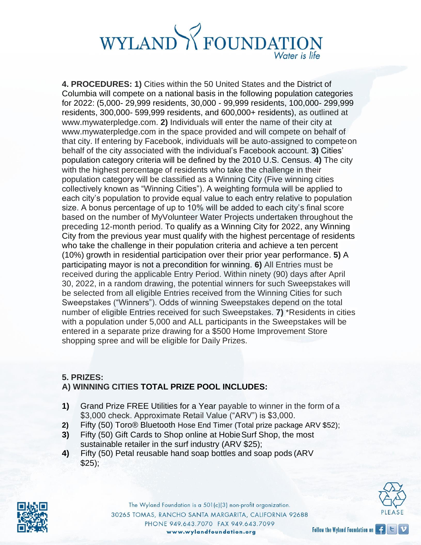**4. PROCEDURES: 1)** Cities within the 50 United States and the District of Columbia will compete on a national basis in the following population categories for 2022: (5,000- 29,999 residents, 30,000 - 99,999 residents, 100,000- 299,999 residents, 300,000- 599,999 residents, and 600,000+ residents), as outlined at [www.mywaterpledge.com.](http://www.mywaterpledge.com/) **2)** Individuals will enter the name of their city a[t](http://www.mywaterpledge.com/) [www.mywaterpledge.com i](http://www.mywaterpledge.com/)n the space provided and will compete on behalf of that city. If entering by Facebook, individuals will be auto-assigned to competeon behalf of the city associated with the individual's Facebook account. **3)** Cities' population category criteria will be defined by the 2010 U.S. Census. **4)** The city with the highest percentage of residents who take the challenge in their population category will be classified as a Winning City (Five winning cities collectively known as "Winning Cities"). A weighting formula will be applied to each city's population to provide equal value to each entry relative to population size. A bonus percentage of up to 10% will be added to each city's final score based on the number of MyVolunteer Water Projects undertaken throughout the preceding 12-month period. To qualify as a Winning City for 2022, any Winning City from the previous year must qualify with the highest percentage of residents who take the challenge in their population criteria and achieve a ten percent (10%) growth in residential participation over their prior year performance. **5)** A participating mayor is not a precondition for winning. **6)** All Entries must be received during the applicable Entry Period. Within ninety (90) days after April 30, 2022, in a random drawing, the potential winners for such Sweepstakes will be selected from all eligible Entries received from the Winning Cities for such Sweepstakes ("Winners"). Odds of winning Sweepstakes depend on the total number of eligible Entries received for such Sweepstakes. **7)** \*Residents in cities with a population under 5,000 and ALL participants in the Sweepstakes will be entered in a separate prize drawing for a \$500 Home Improvement Store shopping spree and will be eligible for Daily Prizes.

#### **5. PRIZES: A) WINNING CITIES TOTAL PRIZE POOL INCLUDES:**

- **1)** Grand Prize FREE Utilities for a Year payable to winner in the form of a \$3,000 check. Approximate Retail Value ("ARV") is \$3,000.
- **2)** Fifty (50) Toro® Bluetooth Hose End Timer (Total prize package ARV \$52);
- **3)** Fifty (50) Gift Cards to Shop online at HobieSurf Shop, the most sustainable retailer in the surf industry (ARV \$25);
- **4)** Fifty (50) Petal reusable hand soap bottles and soap pods (ARV  $$25$ );



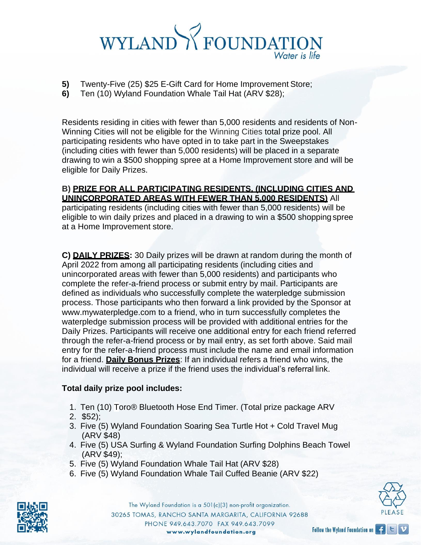- **5)** Twenty-Five (25) \$25 E-Gift Card for Home Improvement Store;
- **6)** Ten (10) Wyland Foundation Whale Tail Hat (ARV \$28);

Residents residing in cities with fewer than 5,000 residents and residents of Non-Winning Cities will not be eligible for the Winning Cities total prize pool. All participating residents who have opted in to take part in the Sweepstakes (including cities with fewer than 5,000 residents) will be placed in a separate drawing to win a \$500 shopping spree at a Home Improvement store and will be eligible for Daily Prizes.

#### **B) PRIZE FOR ALL PARTICIPATING RESIDENTS, (INCLUDING CITIES AND UNINCORPORATED AREAS WITH FEWER THAN 5,000 RESIDENTS)** All

participating residents (including cities with fewer than 5,000 residents) will be eligible to win daily prizes and placed in a drawing to win a \$500 shopping spree at a Home Improvement store.

**C) DAILY PRIZES:** 30 Daily prizes will be drawn at random during the month of April 2022 from among all participating residents (including cities and unincorporated areas with fewer than 5,000 residents) and participants who complete the refer-a-friend process or submit entry by mail. Participants are defined as individuals who successfully complete the waterpledge submission process. Those participants who then forward a link provided by the Sponsor at [www.mywaterpledge.com t](http://www.mywaterpledge.com/)o a friend, who in turn successfully completes the waterpledge submission process will be provided with additional entries for the Daily Prizes. Participants will receive one additional entry for each friend referred through the refer-a-friend process or by mail entry, as set forth above. Said mail entry for the refer-a-friend process must include the name and email information for a friend. **Daily Bonus Prizes**: If an individual refers a friend who wins, the individual will receive a prize if the friend uses the individual's referral link.

#### **Total daily prize pool includes:**

- 1. Ten (10) Toro® Bluetooth Hose End Timer. (Total prize package ARV
- 2. \$52);
- 3. Five (5) Wyland Foundation Soaring Sea Turtle Hot + Cold Travel Mug (ARV \$48)
- 4. Five (5) USA Surfing & Wyland Foundation Surfing Dolphins Beach Towel (ARV \$49);
- 5. Five (5) Wyland Foundation Whale Tail Hat (ARV \$28)
- 6. Five (5) Wyland Foundation Whale Tail Cuffed Beanie (ARV \$22)



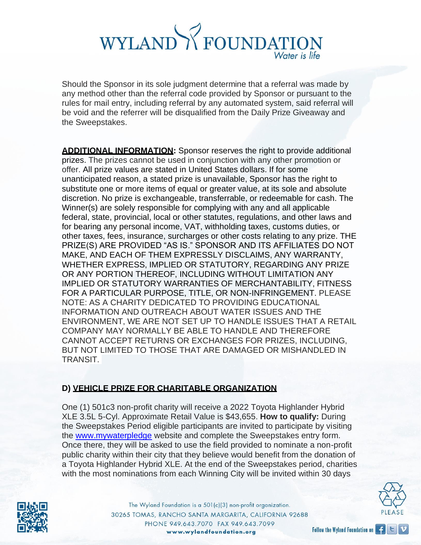Should the Sponsor in its sole judgment determine that a referral was made by any method other than the referral code provided by Sponsor or pursuant to the rules for mail entry, including referral by any automated system, said referral will be void and the referrer will be disqualified from the Daily Prize Giveaway and the Sweepstakes.

**ADDITIONAL INFORMATION:** Sponsor reserves the right to provide additional prizes. The prizes cannot be used in conjunction with any other promotion or offer. All prize values are stated in United States dollars. If for some unanticipated reason, a stated prize is unavailable, Sponsor has the right to substitute one or more items of equal or greater value, at its sole and absolute discretion. No prize is exchangeable, transferrable, or redeemable for cash. The Winner(s) are solely responsible for complying with any and all applicable federal, state, provincial, local or other statutes, regulations, and other laws and for bearing any personal income, VAT, withholding taxes, customs duties, or other taxes, fees, insurance, surcharges or other costs relating to any prize. THE PRIZE(S) ARE PROVIDED "AS IS." SPONSOR AND ITS AFFILIATES DO NOT MAKE, AND EACH OF THEM EXPRESSLY DISCLAIMS, ANY WARRANTY, WHETHER EXPRESS, IMPLIED OR STATUTORY, REGARDING ANY PRIZE OR ANY PORTION THEREOF, INCLUDING WITHOUT LIMITATION ANY IMPLIED OR STATUTORY WARRANTIES OF MERCHANTABILITY, FITNESS FOR A PARTICULAR PURPOSE, TITLE, OR NON-INFRINGEMENT. PLEASE NOTE: AS A CHARITY DEDICATED TO PROVIDING EDUCATIONAL INFORMATION AND OUTREACH ABOUT WATER ISSUES AND THE ENVIRONMENT, WE ARE NOT SET UP TO HANDLE ISSUES THAT A RETAIL COMPANY MAY NORMALLY BE ABLE TO HANDLE AND THEREFORE CANNOT ACCEPT RETURNS OR EXCHANGES FOR PRIZES, INCLUDING, BUT NOT LIMITED TO THOSE THAT ARE DAMAGED OR MISHANDLED IN TRANSIT.

#### **D) VEHICLE PRIZE FOR CHARITABLE ORGANIZATION**

One (1) 501c3 non-profit charity will receive a 2022 Toyota Highlander Hybrid XLE 3.5L 5-Cyl. Approximate Retail Value is \$43,655. **How to qualify:** During the Sweepstakes Period eligible participants are invited to participate by visiting the www.mywaterpledge website and complete the Sweepstakes entry form. Once there, they will be asked to use the field provided to nominate a non-profit public charity within their city that they believe would benefit from the donation of a Toyota Highlander Hybrid XLE. At the end of the Sweepstakes period, charities with the most nominations from each Winning City will be invited within 30 days



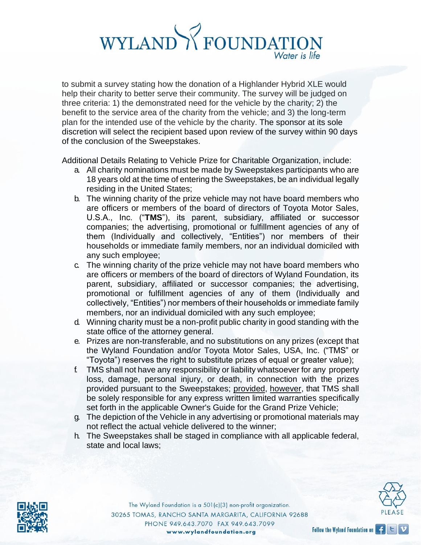to submit a survey stating how the donation of a Highlander Hybrid XLE would help their charity to better serve their community. The survey will be judged on three criteria: 1) the demonstrated need for the vehicle by the charity; 2) the benefit to the service area of the charity from the vehicle; and 3) the long-term plan for the intended use of the vehicle by the charity. The sponsor at its sole discretion will select the recipient based upon review of the survey within 90 days of the conclusion of the Sweepstakes.

Additional Details Relating to Vehicle Prize for Charitable Organization, include:

- a. All charity nominations must be made by Sweepstakes participants who are 18 years old at the time of entering the Sweepstakes, be an individual legally residing in the United States;
- b. The winning charity of the prize vehicle may not have board members who are officers or members of the board of directors of Toyota Motor Sales, U.S.A., Inc. ("**TMS**"), its parent, subsidiary, affiliated or successor companies; the advertising, promotional or fulfillment agencies of any of them (Individually and collectively, "Entities") nor members of their households or immediate family members, nor an individual domiciled with any such employee;
- c. The winning charity of the prize vehicle may not have board members who are officers or members of the board of directors of Wyland Foundation, its parent, subsidiary, affiliated or successor companies; the advertising, promotional or fulfillment agencies of any of them (Individually and collectively, "Entities") nor members of their households or immediate family members, nor an individual domiciled with any such employee;
- d. Winning charity must be a non-profit public charity in good standing with the state office of the attorney general.
- e. Prizes are non-transferable, and no substitutions on any prizes (except that the Wyland Foundation and/or Toyota Motor Sales, USA, Inc. ("TMS" or "Toyota") reserves the right to substitute prizes of equal or greater value);
- f. TMS shall not have any responsibility or liability whatsoever for any property loss, damage, personal injury, or death, in connection with the prizes provided pursuant to the Sweepstakes; provided, however, that TMS shall be solely responsible for any express written limited warranties specifically set forth in the applicable Owner's Guide for the Grand Prize Vehicle;
- g. The depiction of the Vehicle in any advertising or promotional materials may not reflect the actual vehicle delivered to the winner;
- h. The Sweepstakes shall be staged in compliance with all applicable federal, state and local laws;



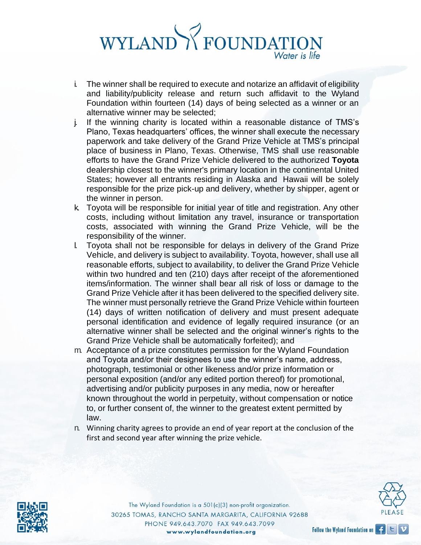- i. The winner shall be required to execute and notarize an affidavit of eligibility and liability/publicity release and return such affidavit to the Wyland Foundation within fourteen (14) days of being selected as a winner or an alternative winner may be selected;
- j. If the winning charity is located within a reasonable distance of TMS's Plano, Texas headquarters' offices, the winner shall execute the necessary paperwork and take delivery of the Grand Prize Vehicle at TMS's principal place of business in Plano, Texas. Otherwise, TMS shall use reasonable efforts to have the Grand Prize Vehicle delivered to the authorized **Toyota**  dealership closest to the winner's primary location in the continental United States; however all entrants residing in Alaska and Hawaii will be solely responsible for the prize pick-up and delivery, whether by shipper, agent or the winner in person.
- k. Toyota will be responsible for initial year of title and registration. Any other costs, including without limitation any travel, insurance or transportation costs, associated with winning the Grand Prize Vehicle, will be the responsibility of the winner.
- l. Toyota shall not be responsible for delays in delivery of the Grand Prize Vehicle, and delivery is subject to availability. Toyota, however, shall use all reasonable efforts, subject to availability, to deliver the Grand Prize Vehicle within two hundred and ten (210) days after receipt of the aforementioned items/information. The winner shall bear all risk of loss or damage to the Grand Prize Vehicle after it has been delivered to the specified delivery site. The winner must personally retrieve the Grand Prize Vehicle within fourteen (14) days of written notification of delivery and must present adequate personal identification and evidence of legally required insurance (or an alternative winner shall be selected and the original winner's rights to the Grand Prize Vehicle shall be automatically forfeited); and
- m. Acceptance of a prize constitutes permission for the Wyland Foundation and Toyota and/or their designees to use the winner's name, address, photograph, testimonial or other likeness and/or prize information or personal exposition (and/or any edited portion thereof) for promotional, advertising and/or publicity purposes in any media, now or hereafter known throughout the world in perpetuity, without compensation or notice to, or further consent of, the winner to the greatest extent permitted by law.
- n. Winning charity agrees to provide an end of year report at the conclusion of the first and second year after winning the prize vehicle.



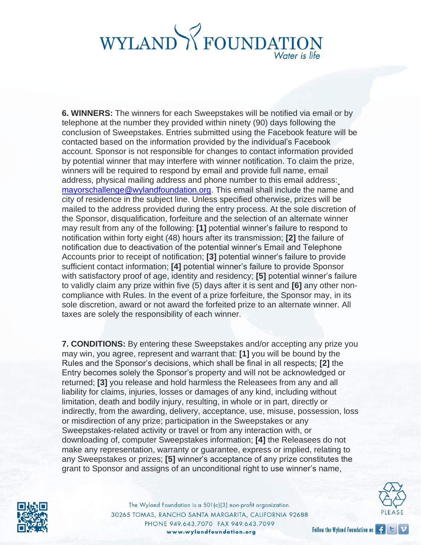**6. WINNERS:** The winners for each Sweepstakes will be notified via email or by telephone at the number they provided within ninety (90) days following the conclusion of Sweepstakes. Entries submitted using the Facebook feature will be contacted based on the information provided by the individual's Facebook account. Sponsor is not responsible for changes to contact information provided by potential winner that may interfere with winner notification. To claim the prize, winners will be required to respond by email and provide full name, email address, physical mailing address and phone number to this email address: [mayorschallenge@wylandfoundation.org. T](mailto:mayorschallenge@wylandfoundation.org)his email shall include the name and city of residence in the subject line. Unless specified otherwise, prizes will be mailed to the address provided during the entry process. At the sole discretion of the Sponsor, disqualification, forfeiture and the selection of an alternate winner may result from any of the following: **[1]** potential winner's failure to respond to notification within forty eight (48) hours after its transmission; **[2]** the failure of notification due to deactivation of the potential winner's Email and Telephone Accounts prior to receipt of notification; **[3]** potential winner's failure to provide sufficient contact information; **[4]** potential winner's failure to provide Sponsor with satisfactory proof of age, identity and residency; **[5]** potential winner's failure to validly claim any prize within five (5) days after it is sent and **[6]** any other noncompliance with Rules. In the event of a prize forfeiture, the Sponsor may, in its sole discretion, award or not award the forfeited prize to an alternate winner. All taxes are solely the responsibility of each winner.

**7. CONDITIONS:** By entering these Sweepstakes and/or accepting any prize you may win, you agree, represent and warrant that: **[1]** you will be bound by the Rules and the Sponsor's decisions, which shall be final in all respects; **[2]** the Entry becomes solely the Sponsor's property and will not be acknowledged or returned; **[3]** you release and hold harmless the Releasees from any and all liability for claims, injuries, losses or damages of any kind, including without limitation, death and bodily injury, resulting, in whole or in part, directly or indirectly, from the awarding, delivery, acceptance, use, misuse, possession, loss or misdirection of any prize; participation in the Sweepstakes or any Sweepstakes-related activity or travel or from any interaction with, or downloading of, computer Sweepstakes information; **[4]** the Releasees do not make any representation, warranty or guarantee, express or implied, relating to any Sweepstakes or prizes; **[5]** winner's acceptance of any prize constitutes the grant to Sponsor and assigns of an unconditional right to use winner's name,



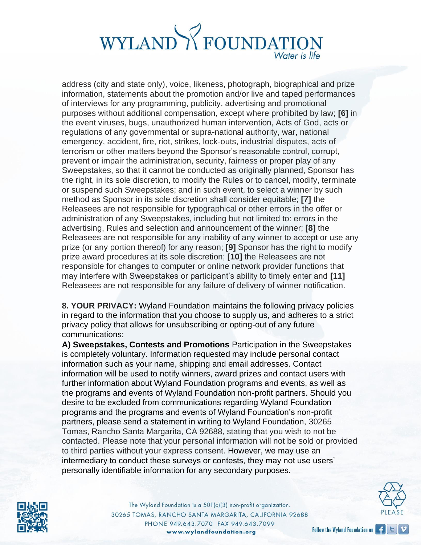address (city and state only), voice, likeness, photograph, biographical and prize information, statements about the promotion and/or live and taped performances of interviews for any programming, publicity, advertising and promotional purposes without additional compensation, except where prohibited by law; **[6]** in the event viruses, bugs, unauthorized human intervention, Acts of God, acts or regulations of any governmental or supra-national authority, war, national emergency, accident, fire, riot, strikes, lock-outs, industrial disputes, acts of terrorism or other matters beyond the Sponsor's reasonable control, corrupt, prevent or impair the administration, security, fairness or proper play of any Sweepstakes, so that it cannot be conducted as originally planned, Sponsor has the right, in its sole discretion, to modify the Rules or to cancel, modify, terminate or suspend such Sweepstakes; and in such event, to select a winner by such method as Sponsor in its sole discretion shall consider equitable; **[7]** the Releasees are not responsible for typographical or other errors in the offer or administration of any Sweepstakes, including but not limited to: errors in the advertising, Rules and selection and announcement of the winner; **[8]** the Releasees are not responsible for any inability of any winner to accept or use any prize (or any portion thereof) for any reason; **[9]** Sponsor has the right to modify prize award procedures at its sole discretion; **[10]** the Releasees are not responsible for changes to computer or online network provider functions that may interfere with Sweepstakes or participant's ability to timely enter and **[11]**  Releasees are not responsible for any failure of delivery of winner notification.

**8. YOUR PRIVACY:** Wyland Foundation maintains the following privacy policies in regard to the information that you choose to supply us, and adheres to a strict privacy policy that allows for unsubscribing or opting-out of any future communications:

**A) Sweepstakes, Contests and Promotions** Participation in the Sweepstakes is completely voluntary. Information requested may include personal contact information such as your name, shipping and email addresses. Contact information will be used to notify winners, award prizes and contact users with further information about Wyland Foundation programs and events, as well as the programs and events of Wyland Foundation non-profit partners. Should you desire to be excluded from communications regarding Wyland Foundation programs and the programs and events of Wyland Foundation's non-profit partners, please send a statement in writing to Wyland Foundation, 30265 Tomas, Rancho Santa Margarita, CA 92688, stating that you wish to not be contacted. Please note that your personal information will not be sold or provided to third parties without your express consent. However, we may use an intermediary to conduct these surveys or contests, they may not use users' personally identifiable information for any secondary purposes.



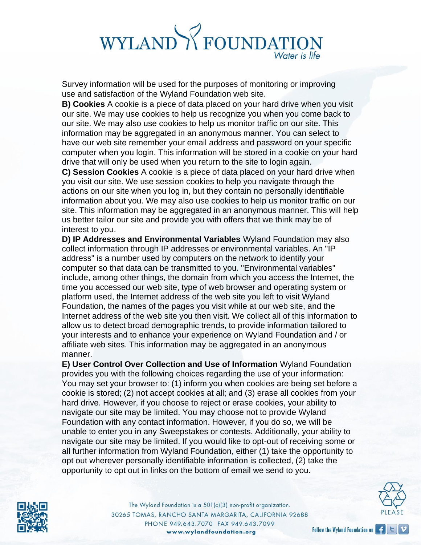Survey information will be used for the purposes of monitoring or improving use and satisfaction of the Wyland Foundation web site.

**B) Cookies** A cookie is a piece of data placed on your hard drive when you visit our site. We may use cookies to help us recognize you when you come back to our site. We may also use cookies to help us monitor traffic on our site. This information may be aggregated in an anonymous manner. You can select to have our web site remember your email address and password on your specific computer when you login. This information will be stored in a cookie on your hard drive that will only be used when you return to the site to login again.

**C) Session Cookies** A cookie is a piece of data placed on your hard drive when you visit our site. We use session cookies to help you navigate through the actions on our site when you log in, but they contain no personally identifiable information about you. We may also use cookies to help us monitor traffic on our site. This information may be aggregated in an anonymous manner. This will help us better tailor our site and provide you with offers that we think may be of interest to you.

**D) IP Addresses and Environmental Variables** Wyland Foundation may also collect information through IP addresses or environmental variables. An "IP address" is a number used by computers on the network to identify your computer so that data can be transmitted to you. "Environmental variables" include, among other things, the domain from which you access the Internet, the time you accessed our web site, type of web browser and operating system or platform used, the Internet address of the web site you left to visit Wyland Foundation, the names of the pages you visit while at our web site, and the Internet address of the web site you then visit. We collect all of this information to allow us to detect broad demographic trends, to provide information tailored to your interests and to enhance your experience on Wyland Foundation and / or affiliate web sites. This information may be aggregated in an anonymous manner.

**E) User Control Over Collection and Use of Information** Wyland Foundation provides you with the following choices regarding the use of your information: You may set your browser to: (1) inform you when cookies are being set before a cookie is stored; (2) not accept cookies at all; and (3) erase all cookies from your hard drive. However, if you choose to reject or erase cookies, your ability to navigate our site may be limited. You may choose not to provide Wyland Foundation with any contact information. However, if you do so, we will be unable to enter you in any Sweepstakes or contests. Additionally, your ability to navigate our site may be limited. If you would like to opt-out of receiving some or all further information from Wyland Foundation, either (1) take the opportunity to opt out wherever personally identifiable information is collected, (2) take the opportunity to opt out in links on the bottom of email we send to you.



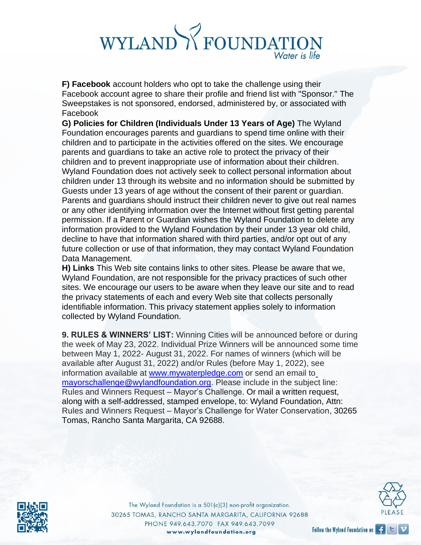**F) Facebook** account holders who opt to take the challenge using their Facebook account agree to share their profile and friend list with "Sponsor." The Sweepstakes is not sponsored, endorsed, administered by, or associated with Facebook

**G) Policies for Children (Individuals Under 13 Years of Age)** The Wyland Foundation encourages parents and guardians to spend time online with their children and to participate in the activities offered on the sites. We encourage parents and guardians to take an active role to protect the privacy of their children and to prevent inappropriate use of information about their children. Wyland Foundation does not actively seek to collect personal information about children under 13 through its website and no information should be submitted by Guests under 13 years of age without the consent of their parent or guardian. Parents and guardians should instruct their children never to give out real names or any other identifying information over the Internet without first getting parental permission. If a Parent or Guardian wishes the Wyland Foundation to delete any information provided to the Wyland Foundation by their under 13 year old child, decline to have that information shared with third parties, and/or opt out of any future collection or use of that information, they may contact Wyland Foundation Data Management.

**H) Links** This Web site contains links to other sites. Please be aware that we, Wyland Foundation, are not responsible for the privacy practices of such other sites. We encourage our users to be aware when they leave our site and to read the privacy statements of each and every Web site that collects personally identifiable information. This privacy statement applies solely to information collected by Wyland Foundation.

**9. RULES & WINNERS' LIST:** Winning Cities will be announced before or during the week of May 23, 2022. Individual Prize Winners will be announced some time between May 1, 2022- August 31, 2022. For names of winners (which will be available after August 31, 2022) and/or Rules (before May 1, 2022), see information available at [www.mywaterpledge.com](http://www.mywaterpledge.com/) [o](mailto:mayorschallenge@wylandfoundation.org)r send an email to [mayorschallenge@wylandfoundation.org. P](mailto:mayorschallenge@wylandfoundation.org)lease include in the subject line: Rules and Winners Request – Mayor's Challenge. Or mail a written request, along with a self-addressed, stamped envelope, to: Wyland Foundation, Attn: Rules and Winners Request – Mayor's Challenge for Water Conservation, 30265 Tomas, Rancho Santa Margarita, CA 92688.